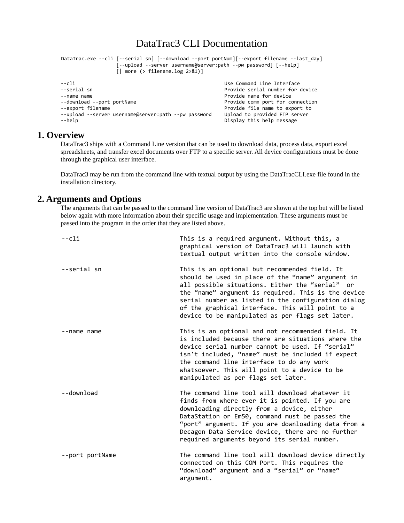# DataTrac3 CLI Documentation

```
DataTrac.exe --cli [--serial sn] [--download --port portNum][--export filename --last_day] 
                    [--upload --server username@server:path --pw password] [--help]
                    [| more (> filename.log 2>&1)]
--cli Use Command Line Interface
--serial sn Provide serial number for device<br>--name name
                                                         Provide name for device
--download --port portName exactle and the Provide comm port for connection<br>--export filename exactly provide file name to export to
                                                         Provide file name to export to
--upload --server username@server:path --pw password Upload to provided FTP server<br>--help message Display this help message
                                                         Display this help message
```
## **1. Overview**

DataTrac3 ships with a Command Line version that can be used to download data, process data, export excel spreadsheets, and transfer excel documents over FTP to a specific server. All device configurations must be done through the graphical user interface.

DataTrac3 may be run from the command line with textual output by using the DataTracCLI.exe file found in the installation directory.

## **2. Arguments and Options**

The arguments that can be passed to the command line version of DataTrac3 are shown at the top but will be listed below again with more information about their specific usage and implementation. These arguments must be passed into the program in the order that they are listed above.

| --cli           | This is a required argument. Without this, a<br>graphical version of DataTrac3 will launch with<br>textual output written into the console window.                                                                                                                                                                                                                          |
|-----------------|-----------------------------------------------------------------------------------------------------------------------------------------------------------------------------------------------------------------------------------------------------------------------------------------------------------------------------------------------------------------------------|
| --serial sn     | This is an optional but recommended field. It<br>should be used in place of the "name" argument in<br>all possible situations. Either the "serial" or<br>the "name" argument is required. This is the device<br>serial number as listed in the configuration dialog<br>of the graphical interface. This will point to a<br>device to be manipulated as per flags set later. |
| --name name     | This is an optional and not recommended field. It<br>is included because there are situations where the<br>device serial number cannot be used. If "serial"<br>isn't included, "name" must be included if expect<br>the command line interface to do any work<br>whatsoever. This will point to a device to be<br>manipulated as per flags set later.                       |
| --download      | The command line tool will download whatever it<br>finds from where ever it is pointed. If you are<br>downloading directly from a device, either<br>DataStation or Em50, command must be passed the<br>"port" argument. If you are downloading data from a<br>Decagon Data Service device, there are no further<br>required arguments beyond its serial number.             |
| --port portName | The command line tool will download device directly<br>connected on this COM Port. This requires the<br>"download" argument and a "serial" or "name"<br>argument.                                                                                                                                                                                                           |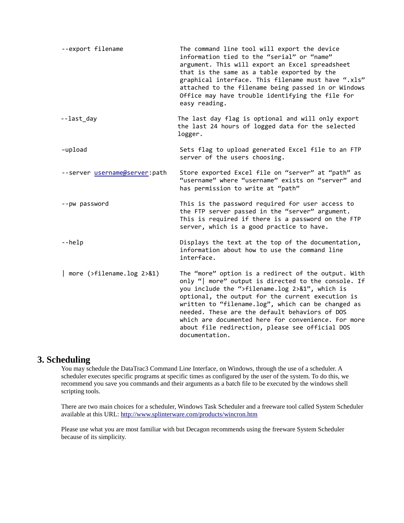| --export filename               | The command line tool will export the device<br>information tied to the "serial" or "name"<br>argument. This will export an Excel spreadsheet<br>that is the same as a table exported by the<br>graphical interface. This filename must have ".xls"<br>attached to the filename being passed in or Windows<br>Office may have trouble identifying the file for<br>easy reading.                                                                       |
|---------------------------------|-------------------------------------------------------------------------------------------------------------------------------------------------------------------------------------------------------------------------------------------------------------------------------------------------------------------------------------------------------------------------------------------------------------------------------------------------------|
| --last_day                      | The last day flag is optional and will only export<br>the last 24 hours of logged data for the selected<br>logger.                                                                                                                                                                                                                                                                                                                                    |
| -upload                         | Sets flag to upload generated Excel file to an FTP<br>server of the users choosing.                                                                                                                                                                                                                                                                                                                                                                   |
| --server username@server:path   | Store exported Excel file on "server" at "path" as<br>"username" where "username" exists on "server" and<br>has permission to write at "path"                                                                                                                                                                                                                                                                                                         |
| --pw password                   | This is the password required for user access to<br>the FTP server passed in the "server" argument.<br>This is required if there is a password on the FTP<br>server, which is a good practice to have.                                                                                                                                                                                                                                                |
| --help                          | Displays the text at the top of the documentation,<br>information about how to use the command line<br>interface.                                                                                                                                                                                                                                                                                                                                     |
| more $($ >filename.log $2>81$ ) | The "more" option is a redirect of the output. With<br>only "  more" output is directed to the console. If<br>you include the ">filename.log 2>&1", which is<br>optional, the output for the current execution is<br>written to "filename.log", which can be changed as<br>needed. These are the default behaviors of DOS<br>which are documented here for convenience. For more<br>about file redirection, please see official DOS<br>documentation. |

## **3. Scheduling**

You may schedule the DataTrac3 Command Line Interface, on Windows, through the use of a scheduler. A scheduler executes specific programs at specific times as configured by the user of the system. To do this, we recommend you save you commands and their arguments as a batch file to be executed by the windows shell scripting tools.

There are two main choices for a scheduler, Windows Task Scheduler and a freeware tool called System Scheduler available at this URL:<http://www.splinterware.com/products/wincron.htm>

Please use what you are most familiar with but Decagon recommends using the freeware System Scheduler because of its simplicity.